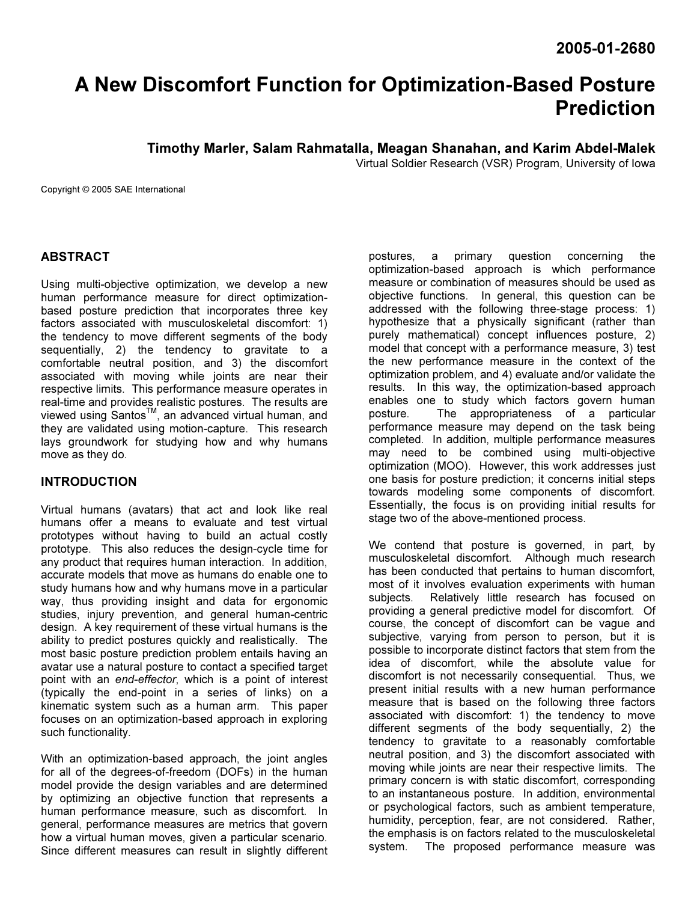## 2005-01-2680

# A New Discomfort Function for Optimization-Based Posture Prediction

## Timothy Marler, Salam Rahmatalla, Meagan Shanahan, and Karim Abdel-Malek

Virtual Soldier Research (VSR) Program, University of Iowa

Copyright © 2005 SAE International

## ABSTRACT

Using multi-objective optimization, we develop a new human performance measure for direct optimizationbased posture prediction that incorporates three key factors associated with musculoskeletal discomfort: 1) the tendency to move different segments of the body sequentially, 2) the tendency to gravitate to a comfortable neutral position, and 3) the discomfort associated with moving while joints are near their respective limits. This performance measure operates in real-time and provides realistic postures. The results are viewed using SantosTM, an advanced virtual human, and they are validated using motion-capture. This research lays groundwork for studying how and why humans move as they do.

#### INTRODUCTION

Virtual humans (avatars) that act and look like real humans offer a means to evaluate and test virtual prototypes without having to build an actual costly prototype. This also reduces the design-cycle time for any product that requires human interaction. In addition, accurate models that move as humans do enable one to study humans how and why humans move in a particular way, thus providing insight and data for ergonomic studies, injury prevention, and general human-centric design. A key requirement of these virtual humans is the ability to predict postures quickly and realistically. The most basic posture prediction problem entails having an avatar use a natural posture to contact a specified target point with an end-effector, which is a point of interest (typically the end-point in a series of links) on a kinematic system such as a human arm. This paper focuses on an optimization-based approach in exploring such functionality.

With an optimization-based approach, the joint angles for all of the degrees-of-freedom (DOFs) in the human model provide the design variables and are determined by optimizing an objective function that represents a human performance measure, such as discomfort. In general, performance measures are metrics that govern how a virtual human moves, given a particular scenario. Since different measures can result in slightly different postures, a primary question concerning the optimization-based approach is which performance measure or combination of measures should be used as objective functions. In general, this question can be addressed with the following three-stage process: 1) hypothesize that a physically significant (rather than purely mathematical) concept influences posture, 2) model that concept with a performance measure, 3) test the new performance measure in the context of the optimization problem, and 4) evaluate and/or validate the results. In this way, the optimization-based approach enables one to study which factors govern human posture. The appropriateness of a particular performance measure may depend on the task being completed. In addition, multiple performance measures may need to be combined using multi-objective optimization (MOO). However, this work addresses just one basis for posture prediction; it concerns initial steps towards modeling some components of discomfort. Essentially, the focus is on providing initial results for stage two of the above-mentioned process.

We contend that posture is governed, in part, by musculoskeletal discomfort. Although much research has been conducted that pertains to human discomfort, most of it involves evaluation experiments with human subjects. Relatively little research has focused on providing a general predictive model for discomfort. Of course, the concept of discomfort can be vague and subjective, varying from person to person, but it is possible to incorporate distinct factors that stem from the idea of discomfort, while the absolute value for discomfort is not necessarily consequential. Thus, we present initial results with a new human performance measure that is based on the following three factors associated with discomfort: 1) the tendency to move different segments of the body sequentially, 2) the tendency to gravitate to a reasonably comfortable neutral position, and 3) the discomfort associated with moving while joints are near their respective limits. The primary concern is with static discomfort, corresponding to an instantaneous posture. In addition, environmental or psychological factors, such as ambient temperature, humidity, perception, fear, are not considered. Rather, the emphasis is on factors related to the musculoskeletal system. The proposed performance measure was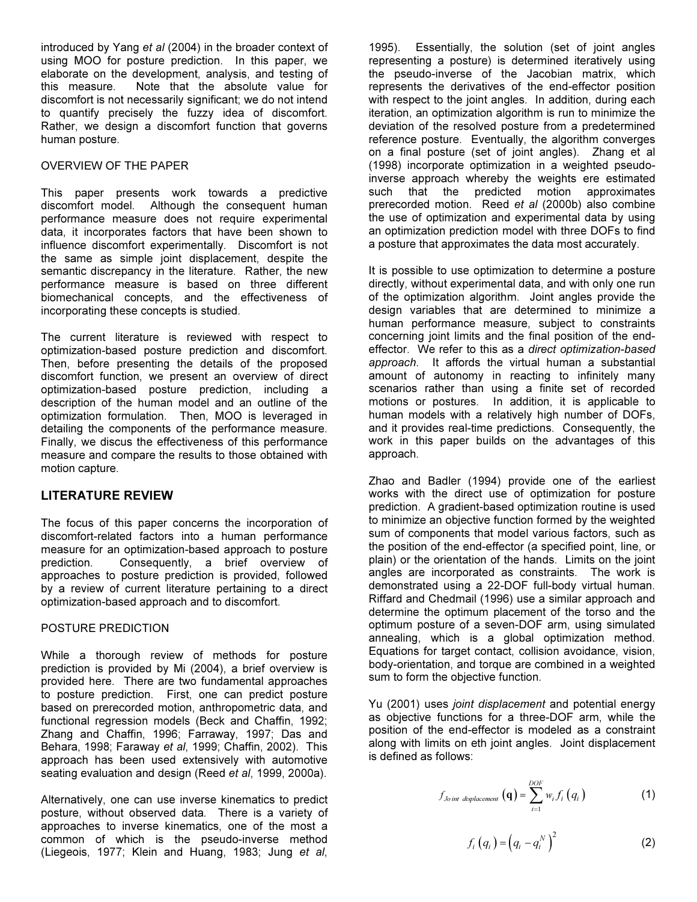introduced by Yang et al (2004) in the broader context of using MOO for posture prediction. In this paper, we elaborate on the development, analysis, and testing of Note that the absolute value for discomfort is not necessarily significant; we do not intend to quantify precisely the fuzzy idea of discomfort. Rather, we design a discomfort function that governs human posture.

#### OVERVIEW OF THE PAPER

This paper presents work towards a predictive discomfort model. Although the consequent human performance measure does not require experimental data, it incorporates factors that have been shown to influence discomfort experimentally. Discomfort is not the same as simple joint displacement, despite the semantic discrepancy in the literature. Rather, the new performance measure is based on three different biomechanical concepts, and the effectiveness of incorporating these concepts is studied.

The current literature is reviewed with respect to optimization-based posture prediction and discomfort. Then, before presenting the details of the proposed discomfort function, we present an overview of direct optimization-based posture prediction, including a description of the human model and an outline of the optimization formulation. Then, MOO is leveraged in detailing the components of the performance measure. Finally, we discus the effectiveness of this performance measure and compare the results to those obtained with motion capture.

## LITERATURE REVIEW

The focus of this paper concerns the incorporation of discomfort-related factors into a human performance measure for an optimization-based approach to posture prediction. Consequently, a brief overview of approaches to posture prediction is provided, followed by a review of current literature pertaining to a direct optimization-based approach and to discomfort.

#### POSTURE PREDICTION

While a thorough review of methods for posture prediction is provided by Mi (2004), a brief overview is provided here. There are two fundamental approaches to posture prediction. First, one can predict posture based on prerecorded motion, anthropometric data, and functional regression models (Beck and Chaffin, 1992; Zhang and Chaffin, 1996; Farraway, 1997; Das and Behara, 1998; Faraway et al, 1999; Chaffin, 2002). This approach has been used extensively with automotive seating evaluation and design (Reed et al, 1999, 2000a).

Alternatively, one can use inverse kinematics to predict posture, without observed data. There is a variety of approaches to inverse kinematics, one of the most a common of which is the pseudo-inverse method (Liegeois, 1977; Klein and Huang, 1983; Jung et al,

1995). Essentially, the solution (set of joint angles representing a posture) is determined iteratively using the pseudo-inverse of the Jacobian matrix, which represents the derivatives of the end-effector position with respect to the joint angles. In addition, during each iteration, an optimization algorithm is run to minimize the deviation of the resolved posture from a predetermined reference posture. Eventually, the algorithm converges on a final posture (set of joint angles). Zhang et al (1998) incorporate optimization in a weighted pseudoinverse approach whereby the weights ere estimated such that the predicted motion approximates prerecorded motion. Reed et al (2000b) also combine the use of optimization and experimental data by using an optimization prediction model with three DOFs to find a posture that approximates the data most accurately.

It is possible to use optimization to determine a posture directly, without experimental data, and with only one run of the optimization algorithm. Joint angles provide the design variables that are determined to minimize a human performance measure, subject to constraints concerning joint limits and the final position of the endeffector. We refer to this as a direct optimization-based approach. It affords the virtual human a substantial amount of autonomy in reacting to infinitely many scenarios rather than using a finite set of recorded motions or postures. In addition, it is applicable to human models with a relatively high number of DOFs, and it provides real-time predictions. Consequently, the work in this paper builds on the advantages of this approach.

Zhao and Badler (1994) provide one of the earliest works with the direct use of optimization for posture prediction. A gradient-based optimization routine is used to minimize an objective function formed by the weighted sum of components that model various factors, such as the position of the end-effector (a specified point, line, or plain) or the orientation of the hands. Limits on the joint angles are incorporated as constraints. The work is demonstrated using a 22-DOF full-body virtual human. Riffard and Chedmail (1996) use a similar approach and determine the optimum placement of the torso and the optimum posture of a seven-DOF arm, using simulated annealing, which is a global optimization method. Equations for target contact, collision avoidance, vision, body-orientation, and torque are combined in a weighted sum to form the objective function.

Yu (2001) uses joint displacement and potential energy as objective functions for a three-DOF arm, while the position of the end-effector is modeled as a constraint along with limits on eth joint angles. Joint displacement is defined as follows:

$$
f_{Joint\ displacement}\left(\mathbf{q}\right) = \sum_{i=1}^{DOF} w_i f_i\left(q_i\right) \tag{1}
$$

$$
f_i\left(q_i\right) = \left(q_i - q_i^N\right)^2\tag{2}
$$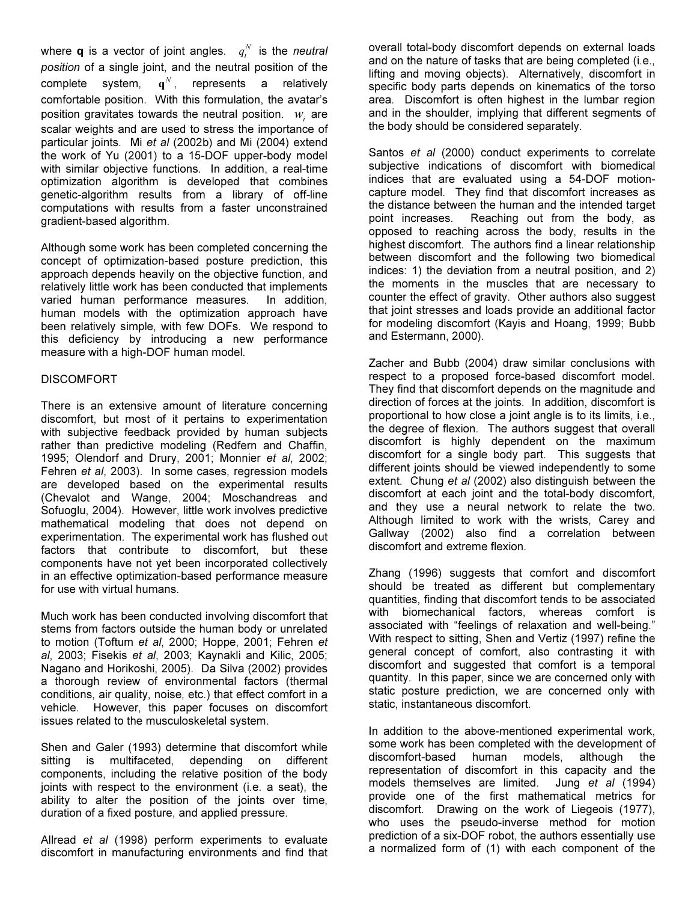where **q** is a vector of joint angles.  $q_i^N$  is the *neutral* position of a single joint, and the neutral position of the complete system,  $\mathbf{q}^N$ , represents a relatively comfortable position. With this formulation, the avatar's position gravitates towards the neutral position.  $w_i$  are scalar weights and are used to stress the importance of particular joints. Mi et al (2002b) and Mi (2004) extend the work of Yu (2001) to a 15-DOF upper-body model with similar objective functions. In addition, a real-time optimization algorithm is developed that combines genetic-algorithm results from a library of off-line computations with results from a faster unconstrained gradient-based algorithm.

Although some work has been completed concerning the concept of optimization-based posture prediction, this approach depends heavily on the objective function, and relatively little work has been conducted that implements varied human performance measures. In addition, human models with the optimization approach have been relatively simple, with few DOFs. We respond to this deficiency by introducing a new performance measure with a high-DOF human model.

#### DISCOMFORT

There is an extensive amount of literature concerning discomfort, but most of it pertains to experimentation with subjective feedback provided by human subjects rather than predictive modeling (Redfern and Chaffin, 1995; Olendorf and Drury, 2001; Monnier et al, 2002; Fehren et al, 2003). In some cases, regression models are developed based on the experimental results (Chevalot and Wange, 2004; Moschandreas and Sofuoglu, 2004). However, little work involves predictive mathematical modeling that does not depend on experimentation. The experimental work has flushed out factors that contribute to discomfort, but these components have not yet been incorporated collectively in an effective optimization-based performance measure for use with virtual humans.

Much work has been conducted involving discomfort that stems from factors outside the human body or unrelated to motion (Toftum et al, 2000; Hoppe, 2001; Fehren et al, 2003; Fisekis et al, 2003; Kaynakli and Kilic, 2005; Nagano and Horikoshi, 2005). Da Silva (2002) provides a thorough review of environmental factors (thermal conditions, air quality, noise, etc.) that effect comfort in a vehicle. However, this paper focuses on discomfort issues related to the musculoskeletal system.

Shen and Galer (1993) determine that discomfort while sitting is multifaceted, depending on different components, including the relative position of the body joints with respect to the environment (i.e. a seat), the ability to alter the position of the joints over time, duration of a fixed posture, and applied pressure.

Allread et al (1998) perform experiments to evaluate discomfort in manufacturing environments and find that overall total-body discomfort depends on external loads and on the nature of tasks that are being completed (i.e., lifting and moving objects). Alternatively, discomfort in specific body parts depends on kinematics of the torso area. Discomfort is often highest in the lumbar region and in the shoulder, implying that different segments of the body should be considered separately.

Santos et al (2000) conduct experiments to correlate subjective indications of discomfort with biomedical indices that are evaluated using a 54-DOF motioncapture model. They find that discomfort increases as the distance between the human and the intended target<br>point increases. Reaching out from the body, as Reaching out from the body, as opposed to reaching across the body, results in the highest discomfort. The authors find a linear relationship between discomfort and the following two biomedical indices: 1) the deviation from a neutral position, and 2) the moments in the muscles that are necessary to counter the effect of gravity. Other authors also suggest that joint stresses and loads provide an additional factor for modeling discomfort (Kayis and Hoang, 1999; Bubb and Estermann, 2000).

Zacher and Bubb (2004) draw similar conclusions with respect to a proposed force-based discomfort model. They find that discomfort depends on the magnitude and direction of forces at the joints. In addition, discomfort is proportional to how close a joint angle is to its limits, i.e., the degree of flexion. The authors suggest that overall discomfort is highly dependent on the maximum discomfort for a single body part. This suggests that different joints should be viewed independently to some extent. Chung et al (2002) also distinguish between the discomfort at each joint and the total-body discomfort, and they use a neural network to relate the two. Although limited to work with the wrists, Carey and Gallway (2002) also find a correlation between discomfort and extreme flexion.

Zhang (1996) suggests that comfort and discomfort should be treated as different but complementary quantities, finding that discomfort tends to be associated with biomechanical factors, whereas comfort is associated with "feelings of relaxation and well-being." With respect to sitting, Shen and Vertiz (1997) refine the general concept of comfort, also contrasting it with discomfort and suggested that comfort is a temporal quantity. In this paper, since we are concerned only with static posture prediction, we are concerned only with static, instantaneous discomfort.

In addition to the above-mentioned experimental work, some work has been completed with the development of discomfort-based human models, although the representation of discomfort in this capacity and the models themselves are limited. Jung et al (1994) models themselves are limited. provide one of the first mathematical metrics for discomfort. Drawing on the work of Liegeois (1977), who uses the pseudo-inverse method for motion prediction of a six-DOF robot, the authors essentially use a normalized form of (1) with each component of the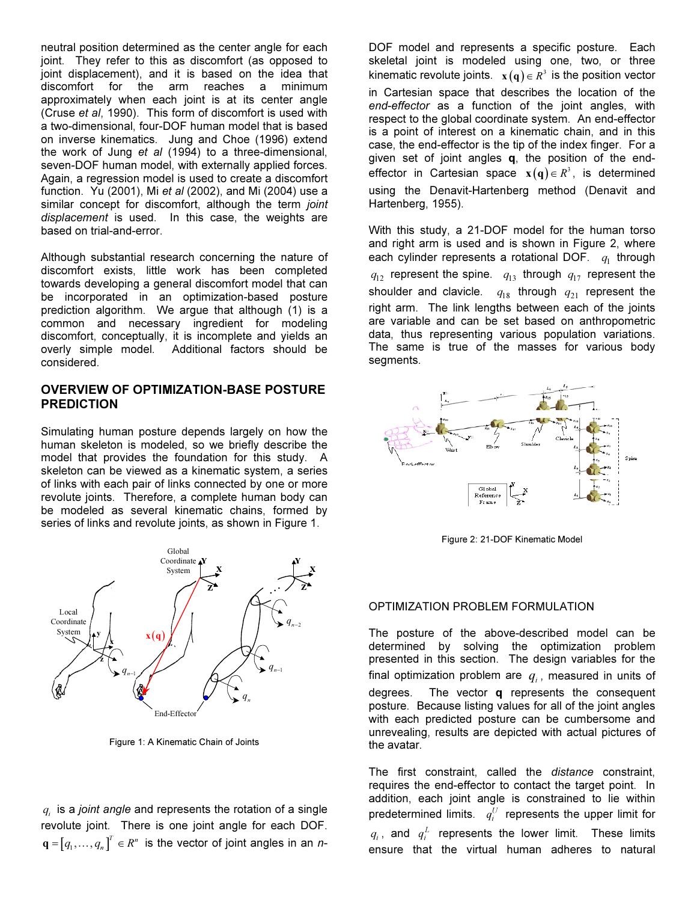neutral position determined as the center angle for each joint. They refer to this as discomfort (as opposed to joint displacement), and it is based on the idea that discomfort for the arm reaches a minimum approximately when each joint is at its center angle (Cruse et al, 1990). This form of discomfort is used with a two-dimensional, four-DOF human model that is based on inverse kinematics. Jung and Choe (1996) extend the work of Jung et al (1994) to a three-dimensional, seven-DOF human model, with externally applied forces. Again, a regression model is used to create a discomfort function. Yu (2001), Mi et al (2002), and Mi (2004) use a similar concept for discomfort, although the term joint displacement is used. In this case, the weights are based on trial-and-error.

Although substantial research concerning the nature of discomfort exists, little work has been completed towards developing a general discomfort model that can be incorporated in an optimization-based posture prediction algorithm. We argue that although (1) is a common and necessary ingredient for modeling discomfort, conceptually, it is incomplete and yields an overly simple model. Additional factors should be considered.

#### OVERVIEW OF OPTIMIZATION-BASE POSTURE PREDICTION

Simulating human posture depends largely on how the human skeleton is modeled, so we briefly describe the model that provides the foundation for this study. A skeleton can be viewed as a kinematic system, a series of links with each pair of links connected by one or more revolute joints. Therefore, a complete human body can be modeled as several kinematic chains, formed by series of links and revolute joints, as shown in Figure 1.



Figure 1: A Kinematic Chain of Joints

 $q_i$  is a joint angle and represents the rotation of a single revolute joint. There is one joint angle for each DOF.  $\mathbf{q} = \left[ q_1, \ldots, q_n \right]^T \in R^n$  is the vector of joint angles in an n-

DOF model and represents a specific posture. Each skeletal joint is modeled using one, two, or three kinematic revolute joints.  $\mathbf{x}(\mathbf{q}) \in R^3$  is the position vector in Cartesian space that describes the location of the end-effector as a function of the joint angles, with respect to the global coordinate system. An end-effector is a point of interest on a kinematic chain, and in this case, the end-effector is the tip of the index finger. For a given set of joint angles q, the position of the endeffector in Cartesian space  $\mathbf{x}(\mathbf{q}) \in R^3$ , is determined using the Denavit-Hartenberg method (Denavit and Hartenberg, 1955).

With this study, a 21-DOF model for the human torso and right arm is used and is shown in Figure 2, where each cylinder represents a rotational DOF.  $q_1$  through  $q_{12}$  represent the spine.  $q_{13}$  through  $q_{17}$  represent the shoulder and clavicle.  $q_{18}$  through  $q_{21}$  represent the right arm. The link lengths between each of the joints are variable and can be set based on anthropometric data, thus representing various population variations. The same is true of the masses for various body segments.



Figure 2: 21-DOF Kinematic Model

#### OPTIMIZATION PROBLEM FORMULATION

The posture of the above-described model can be determined by solving the optimization problem presented in this section. The design variables for the final optimization problem are  $q_i$ , measured in units of degrees. The vector **q** represents the consequent posture. Because listing values for all of the joint angles with each predicted posture can be cumbersome and unrevealing, results are depicted with actual pictures of the avatar.

The first constraint, called the *distance* constraint, requires the end-effector to contact the target point. In addition, each joint angle is constrained to lie within predetermined limits.  $q_i^U$  represents the upper limit for  $q_i$ , and  $q_i^L$  represents the lower limit. These limits ensure that the virtual human adheres to natural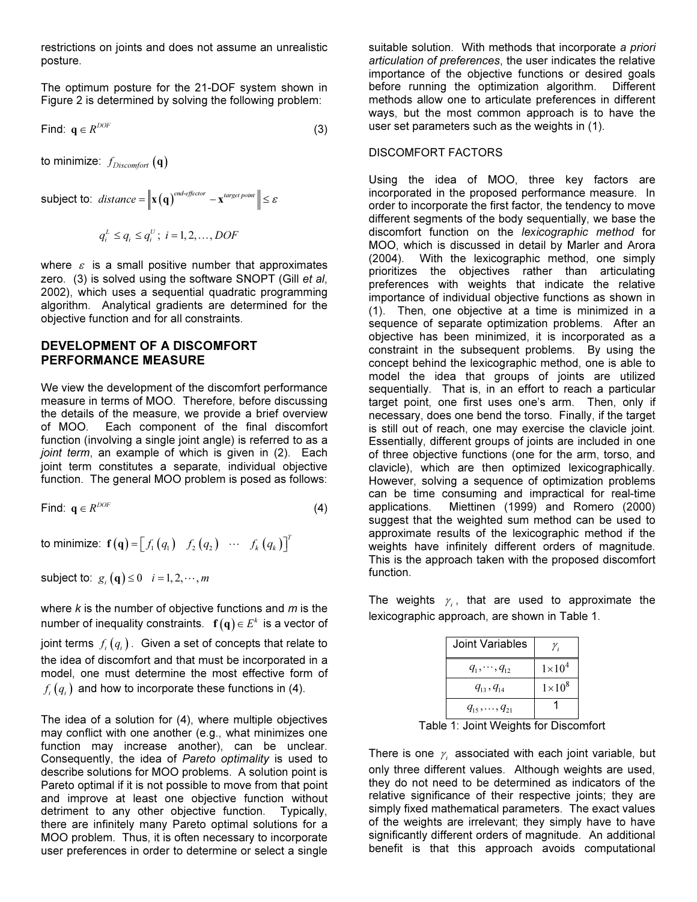restrictions on joints and does not assume an unrealistic posture.

The optimum posture for the 21-DOF system shown in Figure 2 is determined by solving the following problem:

Find: 
$$
\mathbf{q} \in R^{DOF} \tag{3}
$$

to minimize:  $f_{Discomfort}(\mathbf{q})$ 

subject to: 
$$
distance = \|\mathbf{x}(\mathbf{q})^{end\}
$$
 $-\mathbf{x}^{target\ point} \|\leq \varepsilon$ \n $q_i^L \leq q_i \leq q_i^U; \ i = 1, 2, \ldots, DOF$ 

where  $\varepsilon$  is a small positive number that approximates zero. (3) is solved using the software SNOPT (Gill et al, 2002), which uses a sequential quadratic programming algorithm. Analytical gradients are determined for the objective function and for all constraints.

#### DEVELOPMENT OF A DISCOMFORT PERFORMANCE MEASURE

We view the development of the discomfort performance measure in terms of MOO. Therefore, before discussing the details of the measure, we provide a brief overview of MOO. Each component of the final discomfort function (involving a single joint angle) is referred to as a joint term, an example of which is given in (2). Each joint term constitutes a separate, individual objective function. The general MOO problem is posed as follows:

Find: 
$$
\mathbf{q} \in R^{DOF} \tag{4}
$$

to minimize:  $\mathbf{f}\left(\mathbf{q}\right)$  =  $\left[ \begin{matrix} f_{1}\left(q_{1}\right) & f_{2}\left(q_{2}\right) & \cdots & f_{k}\left(q_{k}\right) \end{matrix} \right]^{T}$ 

subject to:  $g_i(\mathbf{q}) \leq 0$   $i = 1, 2, \dots, m$ 

where  $k$  is the number of objective functions and  $m$  is the number of inequality constraints.  $f(q) \in E^k$  is a vector of joint terms  $f_i(q_i)$ . Given a set of concepts that relate to the idea of discomfort and that must be incorporated in a model, one must determine the most effective form of  $f_i(q_i)$  and how to incorporate these functions in (4).

The idea of a solution for (4), where multiple objectives may conflict with one another (e.g., what minimizes one function may increase another), can be unclear. Consequently, the idea of Pareto optimality is used to describe solutions for MOO problems. A solution point is Pareto optimal if it is not possible to move from that point and improve at least one objective function without detriment to any other objective function. Typically, there are infinitely many Pareto optimal solutions for a MOO problem. Thus, it is often necessary to incorporate user preferences in order to determine or select a single

suitable solution. With methods that incorporate a priori articulation of preferences, the user indicates the relative importance of the objective functions or desired goals before running the optimization algorithm. Different methods allow one to articulate preferences in different ways, but the most common approach is to have the user set parameters such as the weights in (1).

#### DISCOMFORT FACTORS

Using the idea of MOO, three key factors are incorporated in the proposed performance measure. In order to incorporate the first factor, the tendency to move different segments of the body sequentially, we base the discomfort function on the lexicographic method for MOO, which is discussed in detail by Marler and Arora (2004). With the lexicographic method, one simply prioritizes the objectives rather than articulating preferences with weights that indicate the relative importance of individual objective functions as shown in (1). Then, one objective at a time is minimized in a sequence of separate optimization problems. After an objective has been minimized, it is incorporated as a constraint in the subsequent problems. By using the concept behind the lexicographic method, one is able to model the idea that groups of joints are utilized sequentially. That is, in an effort to reach a particular target point, one first uses one's arm. Then, only if necessary, does one bend the torso. Finally, if the target is still out of reach, one may exercise the clavicle joint. Essentially, different groups of joints are included in one of three objective functions (one for the arm, torso, and clavicle), which are then optimized lexicographically. However, solving a sequence of optimization problems can be time consuming and impractical for real-time applications. Miettinen (1999) and Romero (2000) suggest that the weighted sum method can be used to approximate results of the lexicographic method if the weights have infinitely different orders of magnitude. This is the approach taken with the proposed discomfort function.

The weights  $\gamma_i$ , that are used to approximate the lexicographic approach, are shown in Table 1.

| Joint Variables          |               |
|--------------------------|---------------|
| $q_1, \dots, q_{12}$     | $1\times10^4$ |
| $q_{13}$ , $q_{14}$      | $1\times10^8$ |
| $q_{15}, \ldots, q_{21}$ |               |

Table 1: Joint Weights for Discomfort

There is one  $\gamma_i$  associated with each joint variable, but only three different values. Although weights are used, they do not need to be determined as indicators of the relative significance of their respective joints; they are simply fixed mathematical parameters. The exact values of the weights are irrelevant; they simply have to have significantly different orders of magnitude. An additional benefit is that this approach avoids computational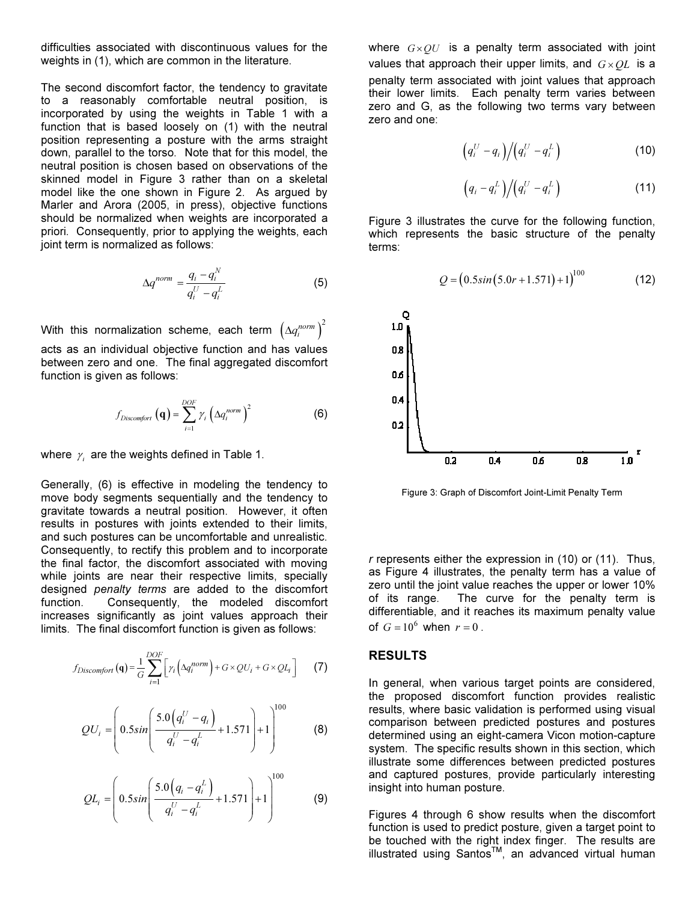difficulties associated with discontinuous values for the weights in (1), which are common in the literature.

The second discomfort factor, the tendency to gravitate to a reasonably comfortable neutral position, is incorporated by using the weights in Table 1 with a function that is based loosely on (1) with the neutral position representing a posture with the arms straight down, parallel to the torso. Note that for this model, the neutral position is chosen based on observations of the skinned model in Figure 3 rather than on a skeletal model like the one shown in Figure 2. As argued by Marler and Arora (2005, in press), objective functions should be normalized when weights are incorporated a priori. Consequently, prior to applying the weights, each joint term is normalized as follows:

$$
\Delta q^{norm} = \frac{q_i - q_i^N}{q_i^V - q_i^L} \tag{5}
$$

With this normalization scheme, each term  $\left(\Delta q_i^{norm}\right)^2$ acts as an individual objective function and has values between zero and one. The final aggregated discomfort function is given as follows:

$$
f_{Discomforf}(\mathbf{q}) = \sum_{i=1}^{DOF} \gamma_i \left(\Delta q_i^{norm}\right)^2 \tag{6}
$$

where  $\gamma$  are the weights defined in Table 1.

Generally, (6) is effective in modeling the tendency to move body segments sequentially and the tendency to gravitate towards a neutral position. However, it often results in postures with joints extended to their limits, and such postures can be uncomfortable and unrealistic. Consequently, to rectify this problem and to incorporate the final factor, the discomfort associated with moving while joints are near their respective limits, specially designed penalty terms are added to the discomfort function. Consequently, the modeled discomfort increases significantly as joint values approach their limits. The final discomfort function is given as follows:

$$
f_{Discomfort}(\mathbf{q}) = \frac{1}{G} \sum_{i=1}^{DOF} \left[ \gamma_i \left( \Delta q_i^{norm} \right) + G \times QU_i + G \times QL_i \right] \tag{7}
$$

$$
QU_i = \left(0.5\sin\left(\frac{5.0\left(q_i^U - q_i\right)}{q_i^U - q_i^L} + 1.571\right) + 1\right)^{100} \tag{8}
$$

$$
QL_i = \left(0.5\sin\left(\frac{5.0(q_i - q_i^L)}{q_i^U - q_i^L} + 1.571\right) + 1\right)^{100}
$$
(9)

where  $G \times QU$  is a penalty term associated with joint values that approach their upper limits, and  $G \times QL$  is a penalty term associated with joint values that approach their lower limits. Each penalty term varies between zero and G, as the following two terms vary between zero and one:

$$
\left(q_i^U-q_i\right)\middle/\left(q_i^U-q_i^L\right) \tag{10}
$$

$$
\left(q_i-q_i^L\right)\middle/\left(q_i^U-q_i^L\right)
$$
\n(11)

Figure 3 illustrates the curve for the following function, which represents the basic structure of the penalty terms:

$$
Q = (0.5\sin(5.0r + 1.571) + 1)^{100}
$$
 (12)



 $\mathcal{F}$  and  $\mathcal{F}$  are  $\mathcal{F}$  and  $\mathcal{F}$  are  $\mathcal{F}$  terms to  $\mathcal{F}$  terms  $\mathcal{F}$  are  $\mathcal{F}$ 

 $r$  represents either the expression in (10) or (11). Thus, as Figure 4 illustrates, the penalty term has a value of zero until the joint value reaches the upper or lower 10% of its range. The curve for the penalty term is differentiable, and it reaches its maximum penalty value of  $G = 10^6$  when  $r = 0$ .

#### RESULTS

In general, when various target points are considered, the proposed discomfort function provides realistic results, where basic validation is performed using visual comparison between predicted postures and postures determined using an eight-camera Vicon motion-capture system. The specific results shown in this section, which illustrate some differences between predicted postures and captured postures, provide particularly interesting insight into human posture.

Figures 4 through 6 show results when the discomfort function is used to predict posture, given a target point to be touched with the right index finger. The results are illustrated using Santos<sup>TM</sup>, an advanced virtual human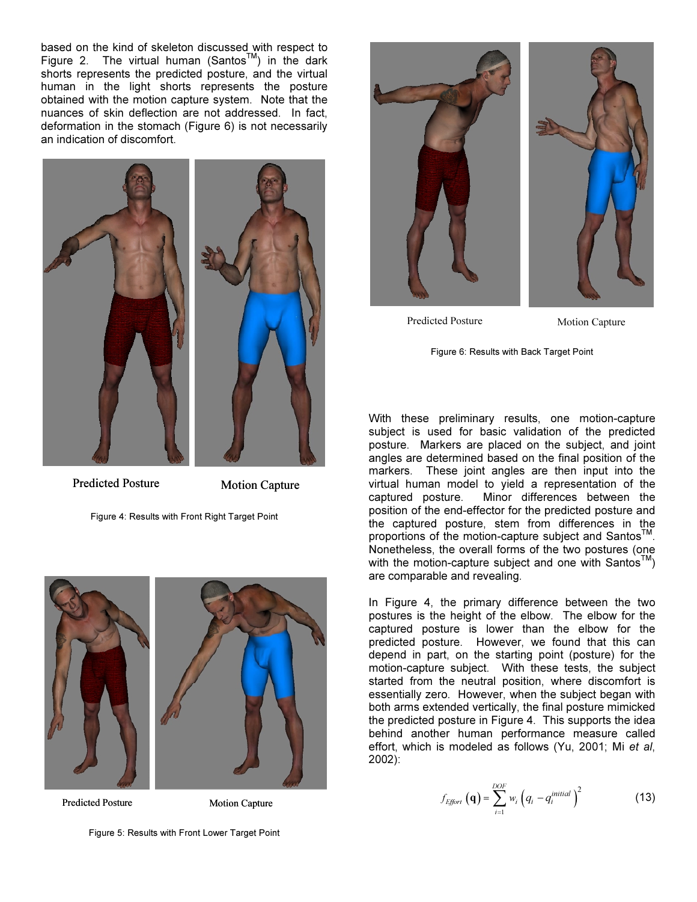based on the kind of skeleton discussed with respect to Figure 2. The virtual human  $(Santos<sup>TM</sup>)$  in the dark shorts represents the predicted posture, and the virtual human in the light shorts represents the posture obtained with the motion capture system. Note that the nuances of skin deflection are not addressed. In fact, deformation in the stomach (Figure 6) is not necessarily an indication of discomfort.



Predicted Posture Motion Capture

Figure 4: Results with Front Right Target Point



Predicted Posture Motion Capture



Predicted Posture Motion Capture

Figure 6: Results with Back Target Point

With these preliminary results, one motion-capture subject is used for basic validation of the predicted posture. Markers are placed on the subject, and joint angles are determined based on the final position of the markers. These joint angles are then input into the virtual human model to yield a representation of the captured posture. Minor differences between the position of the end-effector for the predicted posture and the captured posture, stem from differences in the proportions of the motion-capture subject and Santos™. Nonetheless, the overall forms of the two postures (one with the motion-capture subject and one with Santos<sup>TM</sup>) are comparable and revealing.

In Figure 4, the primary difference between the two postures is the height of the elbow. The elbow for the captured posture is lower than the elbow for the predicted posture. However, we found that this can depend in part, on the starting point (posture) for the motion-capture subject. With these tests, the subject started from the neutral position, where discomfort is essentially zero. However, when the subject began with both arms extended vertically, the final posture mimicked the predicted posture in Figure 4. This supports the idea behind another human performance measure called effort, which is modeled as follows (Yu, 2001; Mi et al, 2002):

$$
f_{Effort}\left(\mathbf{q}\right) = \sum_{i=1}^{DOF} w_i \left(q_i - q_i^{initial}\right)^2 \tag{13}
$$

Figure 5: Results with Front Lower Target Point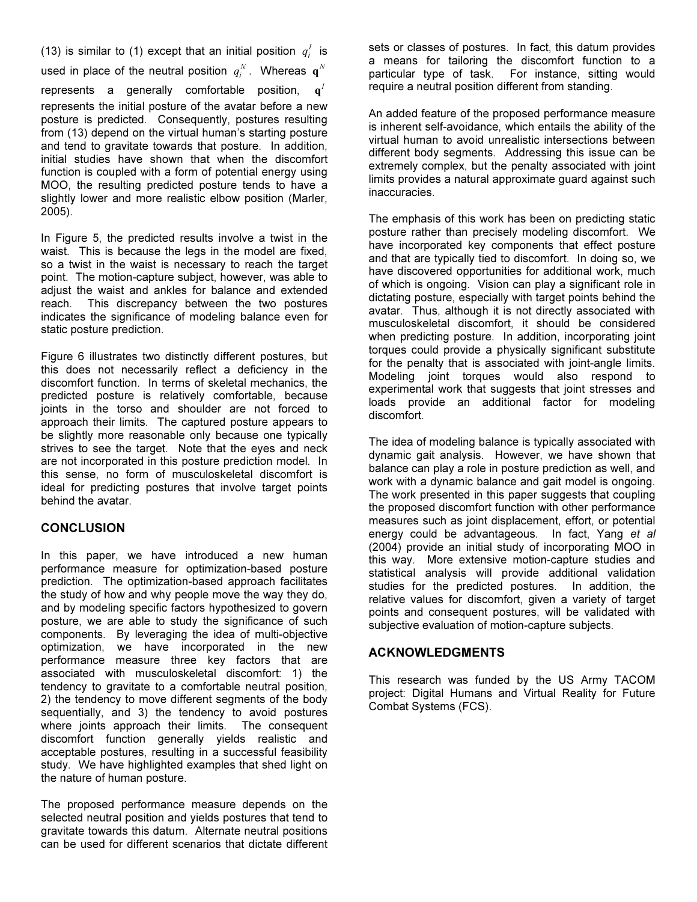(13) is similar to (1) except that an initial position  $q_i^I$  is used in place of the neutral position  $\ q_i^N$  . Whereas  $\mathbf{q}^N$ 

represents a generally comfortable position,  $q<sup>T</sup>$ represents the initial posture of the avatar before a new posture is predicted. Consequently, postures resulting from (13) depend on the virtual human's starting posture and tend to gravitate towards that posture. In addition, initial studies have shown that when the discomfort function is coupled with a form of potential energy using MOO, the resulting predicted posture tends to have a slightly lower and more realistic elbow position (Marler, 2005).

In Figure 5, the predicted results involve a twist in the waist. This is because the legs in the model are fixed, so a twist in the waist is necessary to reach the target point. The motion-capture subject, however, was able to adjust the waist and ankles for balance and extended reach. This discrepancy between the two postures indicates the significance of modeling balance even for static posture prediction.

Figure 6 illustrates two distinctly different postures, but this does not necessarily reflect a deficiency in the discomfort function. In terms of skeletal mechanics, the predicted posture is relatively comfortable, because joints in the torso and shoulder are not forced to approach their limits. The captured posture appears to be slightly more reasonable only because one typically strives to see the target. Note that the eyes and neck are not incorporated in this posture prediction model. In this sense, no form of musculoskeletal discomfort is ideal for predicting postures that involve target points behind the avatar.

## **CONCLUSION**

In this paper, we have introduced a new human performance measure for optimization-based posture prediction. The optimization-based approach facilitates the study of how and why people move the way they do, and by modeling specific factors hypothesized to govern posture, we are able to study the significance of such components. By leveraging the idea of multi-objective optimization, we have incorporated in the new performance measure three key factors that are associated with musculoskeletal discomfort: 1) the tendency to gravitate to a comfortable neutral position, 2) the tendency to move different segments of the body sequentially, and 3) the tendency to avoid postures where joints approach their limits. The consequent discomfort function generally yields realistic and acceptable postures, resulting in a successful feasibility study. We have highlighted examples that shed light on the nature of human posture.

The proposed performance measure depends on the selected neutral position and yields postures that tend to gravitate towards this datum. Alternate neutral positions can be used for different scenarios that dictate different

sets or classes of postures. In fact, this datum provides a means for tailoring the discomfort function to a particular type of task. For instance, sitting would require a neutral position different from standing.

An added feature of the proposed performance measure is inherent self-avoidance, which entails the ability of the virtual human to avoid unrealistic intersections between different body segments. Addressing this issue can be extremely complex, but the penalty associated with joint limits provides a natural approximate guard against such inaccuracies.

The emphasis of this work has been on predicting static posture rather than precisely modeling discomfort. We have incorporated key components that effect posture and that are typically tied to discomfort. In doing so, we have discovered opportunities for additional work, much of which is ongoing. Vision can play a significant role in dictating posture, especially with target points behind the avatar. Thus, although it is not directly associated with musculoskeletal discomfort, it should be considered when predicting posture. In addition, incorporating joint torques could provide a physically significant substitute for the penalty that is associated with joint-angle limits. Modeling joint torques would also respond to experimental work that suggests that joint stresses and loads provide an additional factor for modeling discomfort.

The idea of modeling balance is typically associated with dynamic gait analysis. However, we have shown that balance can play a role in posture prediction as well, and work with a dynamic balance and gait model is ongoing. The work presented in this paper suggests that coupling the proposed discomfort function with other performance measures such as joint displacement, effort, or potential energy could be advantageous. In fact, Yang et all (2004) provide an initial study of incorporating MOO in this way. More extensive motion-capture studies and statistical analysis will provide additional validation studies for the predicted postures. In addition, the relative values for discomfort, given a variety of target points and consequent postures, will be validated with subjective evaluation of motion-capture subjects.

#### ACKNOWLEDGMENTS

This research was funded by the US Army TACOM project: Digital Humans and Virtual Reality for Future Combat Systems (FCS).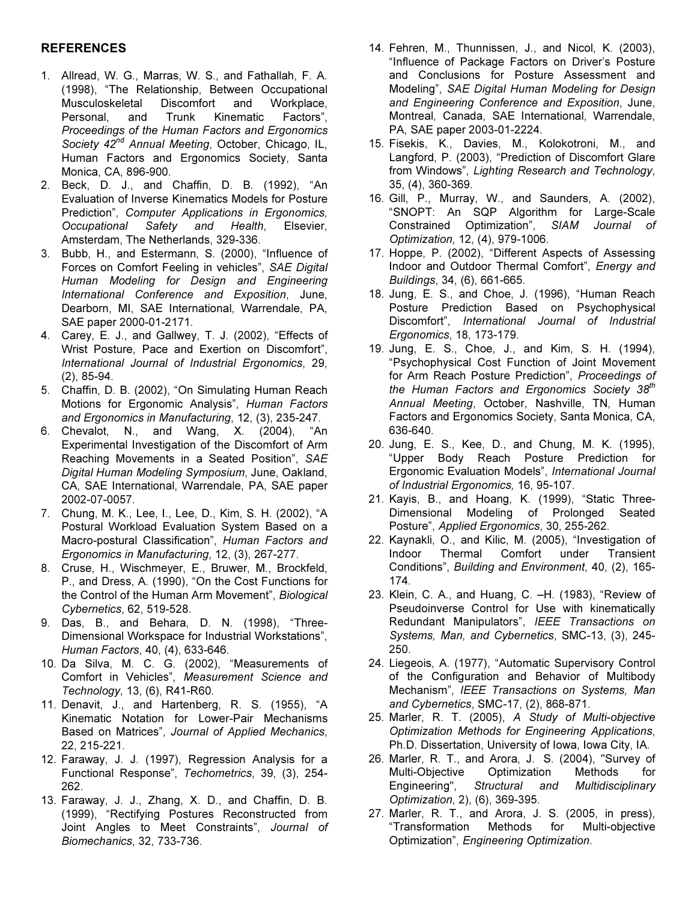### REFERENCES

- 1. Allread, W. G., Marras, W. S., and Fathallah, F. A. (1998), "The Relationship, Between Occupational Musculoskeletal Discomfort and Workplace, Personal, and Trunk Kinematic Factors", Proceedings of the Human Factors and Ergonomics Society 42<sup>nd</sup> Annual Meeting, October, Chicago, IL, Human Factors and Ergonomics Society, Santa Monica, CA, 896-900.
- 2. Beck, D. J., and Chaffin, D. B. (1992), "An Evaluation of Inverse Kinematics Models for Posture Prediction", Computer Applications in Ergonomics, Occupational Safety and Health, Elsevier, Amsterdam, The Netherlands, 329-336.
- 3. Bubb, H., and Estermann, S. (2000), "Influence of Forces on Comfort Feeling in vehicles", SAE Digital Human Modeling for Design and Engineering International Conference and Exposition, June, Dearborn, MI, SAE International, Warrendale, PA, SAE paper 2000-01-2171.
- 4. Carey, E. J., and Gallwey, T. J. (2002), "Effects of Wrist Posture, Pace and Exertion on Discomfort", International Journal of Industrial Ergonomics, 29, (2), 85-94.
- 5. Chaffin, D. B. (2002), "On Simulating Human Reach Motions for Ergonomic Analysis", Human Factors and Ergonomics in Manufacturing, 12, (3), 235-247.
- 6. Chevalot, N., and Wang, X. (2004), "An Experimental Investigation of the Discomfort of Arm Reaching Movements in a Seated Position", SAE Digital Human Modeling Symposium, June, Oakland, CA, SAE International, Warrendale, PA, SAE paper 2002-07-0057.
- 7. Chung, M. K., Lee, I., Lee, D., Kim, S. H. (2002), "A Postural Workload Evaluation System Based on a Macro-postural Classification", Human Factors and Ergonomics in Manufacturing, 12, (3), 267-277.
- 8. Cruse, H., Wischmeyer, E., Bruwer, M., Brockfeld, P., and Dress, A. (1990), "On the Cost Functions for the Control of the Human Arm Movement", Biological Cybernetics, 62, 519-528.
- 9. Das, B., and Behara, D. N. (1998), "Three-Dimensional Workspace for Industrial Workstations", Human Factors, 40, (4), 633-646.
- 10. Da Silva, M. C. G. (2002), "Measurements of Comfort in Vehicles", Measurement Science and Technology, 13, (6), R41-R60.
- 11. Denavit, J., and Hartenberg, R. S. (1955), "A Kinematic Notation for Lower-Pair Mechanisms Based on Matrices", Journal of Applied Mechanics, 22, 215-221.
- 12. Faraway, J. J. (1997), Regression Analysis for a Functional Response", Techometrics, 39, (3), 254- 262.
- 13. Faraway, J. J., Zhang, X. D., and Chaffin, D. B. (1999), "Rectifying Postures Reconstructed from Joint Angles to Meet Constraints", Journal of Biomechanics, 32, 733-736.
- 14. Fehren, M., Thunnissen, J., and Nicol, K. (2003), "Influence of Package Factors on Driver's Posture and Conclusions for Posture Assessment and Modeling", SAE Digital Human Modeling for Design and Engineering Conference and Exposition, June, Montreal, Canada, SAE International, Warrendale, PA, SAE paper 2003-01-2224.
- 15. Fisekis, K., Davies, M., Kolokotroni, M., and Langford, P. (2003), "Prediction of Discomfort Glare from Windows", Lighting Research and Technology, 35, (4), 360-369.
- 16. Gill, P., Murray, W., and Saunders, A. (2002), "SNOPT: An SQP Algorithm for Large-Scale Constrained Optimization", SIAM Journal of Optimization, 12, (4), 979-1006.
- 17. Hoppe, P. (2002), "Different Aspects of Assessing Indoor and Outdoor Thermal Comfort", Energy and Buildings, 34, (6), 661-665.
- 18. Jung, E. S., and Choe, J. (1996), "Human Reach Posture Prediction Based on Psychophysical Discomfort", International Journal of Industrial Ergonomics, 18, 173-179.
- 19. Jung, E. S., Choe, J., and Kim, S. H. (1994), "Psychophysical Cost Function of Joint Movement for Arm Reach Posture Prediction", Proceedings of the Human Factors and Ergonomics Society  $38<sup>th</sup>$ Annual Meeting, October, Nashville, TN, Human Factors and Ergonomics Society, Santa Monica, CA, 636-640.
- 20. Jung, E. S., Kee, D., and Chung, M. K. (1995), "Upper Body Reach Posture Prediction for Ergonomic Evaluation Models", International Journal of Industrial Ergonomics, 16, 95-107.
- 21. Kayis, B., and Hoang, K. (1999), "Static Three-Dimensional Modeling of Prolonged Seated Posture", Applied Ergonomics, 30, 255-262.
- 22. Kaynakli, O., and Kilic, M. (2005), "Investigation of Indoor Thermal Comfort under Transient Conditions", Building and Environment, 40, (2), 165- 174.
- 23. Klein, C. A., and Huang, C. –H. (1983), "Review of Pseudoinverse Control for Use with kinematically Redundant Manipulators", IEEE Transactions on Systems, Man, and Cybernetics, SMC-13, (3), 245- 250.
- 24. Liegeois, A. (1977), "Automatic Supervisory Control of the Configuration and Behavior of Multibody Mechanism", IEEE Transactions on Systems, Man and Cybernetics, SMC-17, (2), 868-871.
- 25. Marler, R. T. (2005), A Study of Multi-objective Optimization Methods for Engineering Applications, Ph.D. Dissertation, University of Iowa, Iowa City, IA.
- 26. Marler, R. T., and Arora, J. S. (2004), "Survey of Multi-Objective Optimization Methods for Engineering", Structural and Multidisciplinary Optimization, 2), (6), 369-395.
- 27. Marler, R. T., and Arora, J. S. (2005, in press), "Transformation Methods for Multi-objective Optimization", Engineering Optimization.